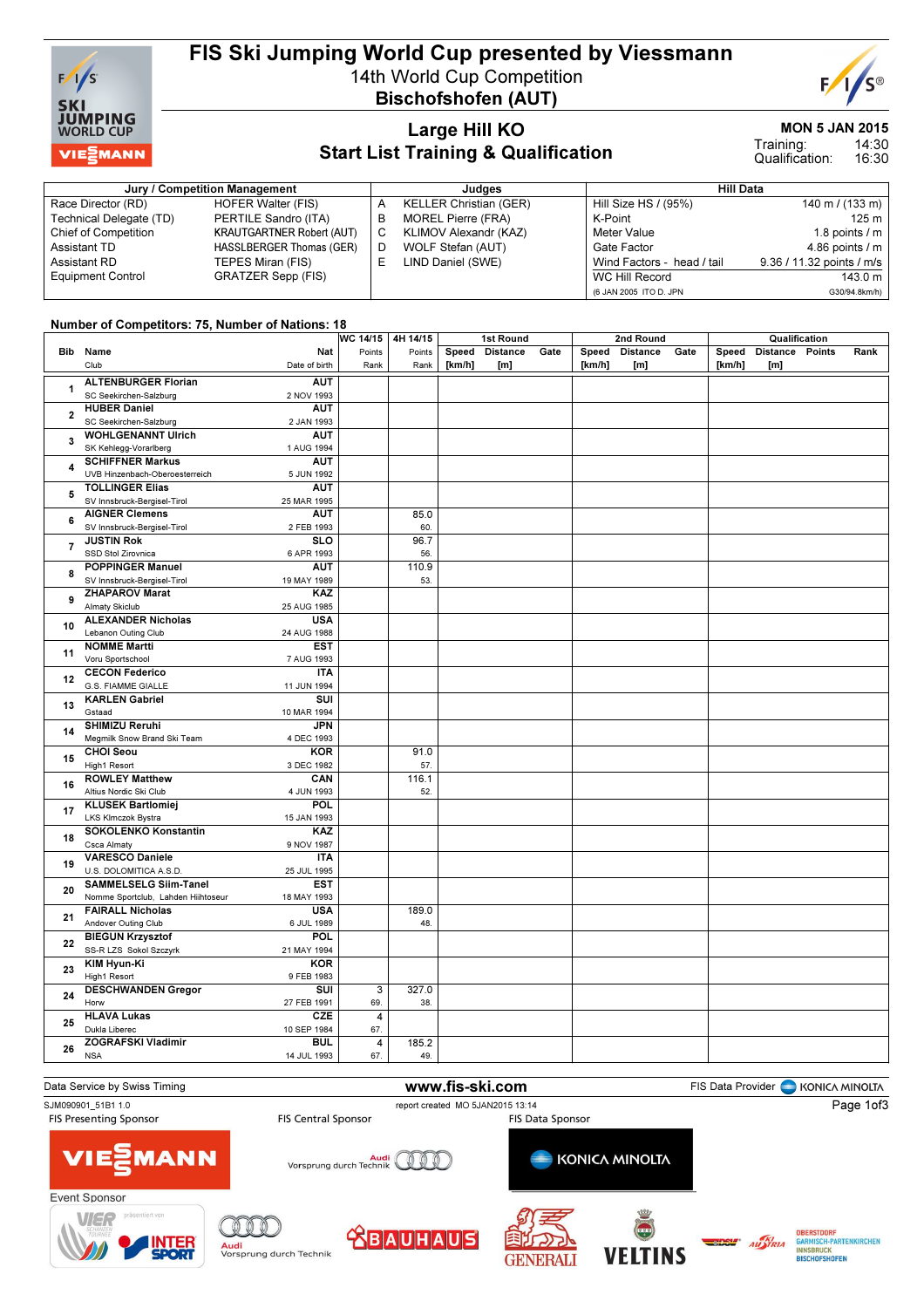

## FIS Ski Jumping World Cup presented by Viessmann 14th World Cup Competition

Bischofshofen (AUT)



### Large Hill KO Start List Training & Qualification

MON 5 JAN 2015

14:30 16:30 Training: Qualification:

|                             | Jury / Competition Management    |   | Judaes                        | <b>Hill Data</b>           |                           |  |  |  |
|-----------------------------|----------------------------------|---|-------------------------------|----------------------------|---------------------------|--|--|--|
| Race Director (RD)          | HOFER Walter (FIS)               | A | <b>KELLER Christian (GER)</b> | Hill Size HS / (95%)       | 140 m / (133 m)           |  |  |  |
| Technical Delegate (TD)     | PERTILE Sandro (ITA)             | в | MOREL Pierre (FRA)            | K-Point                    | 125 m                     |  |  |  |
| <b>Chief of Competition</b> | <b>KRAUTGARTNER Robert (AUT)</b> | С | KLIMOV Alexandr (KAZ)         | Meter Value                | 1.8 points $/m$           |  |  |  |
| Assistant TD                | HASSLBERGER Thomas (GER)         | D | WOLF Stefan (AUT)             | Gate Factor                | 4.86 points $/m$          |  |  |  |
| Assistant RD                | TEPES Miran (FIS)                |   | LIND Daniel (SWE)             | Wind Factors - head / tail | 9.36 / 11.32 points / m/s |  |  |  |
| <b>Equipment Control</b>    | <b>GRATZER Sepp (FIS)</b>        |   |                               | WC Hill Record             | 143.0 m                   |  |  |  |
|                             |                                  |   |                               | (6 JAN 2005 ITO D. JPN     | G30/94.8km/h)             |  |  |  |

#### Number of Competitors: 75, Number of Nations: 18

|                |                                                   | WC 14/15       | 4H 14/15 | 1st Round |                 |      | 2nd Round |                 |      |        | Qualification   |      |  |
|----------------|---------------------------------------------------|----------------|----------|-----------|-----------------|------|-----------|-----------------|------|--------|-----------------|------|--|
|                | Bib Name<br>Nat                                   | Points         | Points   | Speed     | <b>Distance</b> | Gate | Speed     | <b>Distance</b> | Gate | Speed  | Distance Points | Rank |  |
|                | Club<br>Date of birth                             | Rank           | Rank     | [km/h]    | [m]             |      | [km/h]    | [m]             |      | [km/h] | [m]             |      |  |
|                |                                                   |                |          |           |                 |      |           |                 |      |        |                 |      |  |
| 1              | <b>ALTENBURGER Florian</b><br><b>AUT</b>          |                |          |           |                 |      |           |                 |      |        |                 |      |  |
|                | SC Seekirchen-Salzburg<br>2 NOV 1993              |                |          |           |                 |      |           |                 |      |        |                 |      |  |
| $\overline{2}$ | <b>HUBER Daniel</b><br><b>AUT</b>                 |                |          |           |                 |      |           |                 |      |        |                 |      |  |
|                | SC Seekirchen-Salzburg<br>2 JAN 1993              |                |          |           |                 |      |           |                 |      |        |                 |      |  |
|                | <b>WOHLGENANNT Ulrich</b><br><b>AUT</b>           |                |          |           |                 |      |           |                 |      |        |                 |      |  |
| 3              | SK Kehlegg-Vorarlberg<br>1 AUG 1994               |                |          |           |                 |      |           |                 |      |        |                 |      |  |
|                | <b>SCHIFFNER Markus</b><br><b>AUT</b>             |                |          |           |                 |      |           |                 |      |        |                 |      |  |
| 4              | UVB Hinzenbach-Oberoesterreich<br>5 JUN 1992      |                |          |           |                 |      |           |                 |      |        |                 |      |  |
|                | <b>TOLLINGER Elias</b>                            |                |          |           |                 |      |           |                 |      |        |                 |      |  |
| 5              | <b>AUT</b>                                        |                |          |           |                 |      |           |                 |      |        |                 |      |  |
|                | SV Innsbruck-Bergisel-Tirol<br>25 MAR 1995        |                |          |           |                 |      |           |                 |      |        |                 |      |  |
| 6              | <b>AIGNER Clemens</b><br><b>AUT</b>               |                | 85.0     |           |                 |      |           |                 |      |        |                 |      |  |
|                | SV Innsbruck-Bergisel-Tirol<br>2 FEB 1993         |                | 60.      |           |                 |      |           |                 |      |        |                 |      |  |
|                | <b>JUSTIN Rok</b><br><b>SLO</b>                   |                | 96.7     |           |                 |      |           |                 |      |        |                 |      |  |
| 7              | SSD Stol Zirovnica<br>6 APR 1993                  |                | 56.      |           |                 |      |           |                 |      |        |                 |      |  |
|                | <b>POPPINGER Manuel</b><br><b>AUT</b>             |                | 110.9    |           |                 |      |           |                 |      |        |                 |      |  |
| 8              | SV Innsbruck-Bergisel-Tirol<br>19 MAY 1989        |                | 53.      |           |                 |      |           |                 |      |        |                 |      |  |
|                | <b>ZHAPAROV Marat</b><br>KAZ                      |                |          |           |                 |      |           |                 |      |        |                 |      |  |
| 9              |                                                   |                |          |           |                 |      |           |                 |      |        |                 |      |  |
|                | Almaty Skiclub<br>25 AUG 1985                     |                |          |           |                 |      |           |                 |      |        |                 |      |  |
| 10             | <b>ALEXANDER Nicholas</b><br><b>USA</b>           |                |          |           |                 |      |           |                 |      |        |                 |      |  |
|                | Lebanon Outing Club<br>24 AUG 1988                |                |          |           |                 |      |           |                 |      |        |                 |      |  |
|                | <b>NOMME Martti</b><br><b>EST</b>                 |                |          |           |                 |      |           |                 |      |        |                 |      |  |
| 11<br>12       | Voru Sportschool<br>7 AUG 1993                    |                |          |           |                 |      |           |                 |      |        |                 |      |  |
|                | <b>CECON Federico</b><br><b>ITA</b>               |                |          |           |                 |      |           |                 |      |        |                 |      |  |
|                | G.S. FIAMME GIALLE<br>11 JUN 1994                 |                |          |           |                 |      |           |                 |      |        |                 |      |  |
| 13             | <b>KARLEN Gabriel</b><br>SUI                      |                |          |           |                 |      |           |                 |      |        |                 |      |  |
|                | Gstaad<br>10 MAR 1994                             |                |          |           |                 |      |           |                 |      |        |                 |      |  |
|                |                                                   |                |          |           |                 |      |           |                 |      |        |                 |      |  |
| 14             | <b>SHIMIZU Reruhi</b><br><b>JPN</b>               |                |          |           |                 |      |           |                 |      |        |                 |      |  |
|                | Megmilk Snow Brand Ski Team<br>4 DEC 1993         |                |          |           |                 |      |           |                 |      |        |                 |      |  |
| 15             | <b>CHOI Seou</b><br><b>KOR</b>                    |                | 91.0     |           |                 |      |           |                 |      |        |                 |      |  |
|                | High1 Resort<br>3 DEC 1982                        |                | 57.      |           |                 |      |           |                 |      |        |                 |      |  |
| 16             | <b>ROWLEY Matthew</b><br>CAN                      |                | 116.1    |           |                 |      |           |                 |      |        |                 |      |  |
|                | Altius Nordic Ski Club<br>4 JUN 1993              |                | 52.      |           |                 |      |           |                 |      |        |                 |      |  |
|                | <b>POL</b><br><b>KLUSEK Bartlomiej</b>            |                |          |           |                 |      |           |                 |      |        |                 |      |  |
| 17             | LKS Klmczok Bystra<br>15 JAN 1993                 |                |          |           |                 |      |           |                 |      |        |                 |      |  |
|                | SOKOLENKO Konstantin<br>KAZ                       |                |          |           |                 |      |           |                 |      |        |                 |      |  |
| 18             | Csca Almaty<br>9 NOV 1987                         |                |          |           |                 |      |           |                 |      |        |                 |      |  |
|                | <b>VARESCO Daniele</b><br><b>ITA</b>              |                |          |           |                 |      |           |                 |      |        |                 |      |  |
| 19             |                                                   |                |          |           |                 |      |           |                 |      |        |                 |      |  |
|                | U.S. DOLOMITICA A.S.D.<br>25 JUL 1995             |                |          |           |                 |      |           |                 |      |        |                 |      |  |
| 20             | <b>SAMMELSELG Siim-Tanel</b><br><b>EST</b>        |                |          |           |                 |      |           |                 |      |        |                 |      |  |
|                | Nomme Sportclub, Lahden Hiihtoseur<br>18 MAY 1993 |                |          |           |                 |      |           |                 |      |        |                 |      |  |
| 21             | <b>USA</b><br><b>FAIRALL Nicholas</b>             |                | 189.0    |           |                 |      |           |                 |      |        |                 |      |  |
|                | Andover Outing Club<br>6 JUL 1989                 |                | 48.      |           |                 |      |           |                 |      |        |                 |      |  |
|                | <b>BIEGUN Krzysztof</b><br>POL                    |                |          |           |                 |      |           |                 |      |        |                 |      |  |
| 22             | SS-R LZS Sokol Szczyrk<br>21 MAY 1994             |                |          |           |                 |      |           |                 |      |        |                 |      |  |
| 23             | KIM Hyun-Ki<br><b>KOR</b>                         |                |          |           |                 |      |           |                 |      |        |                 |      |  |
|                | High1 Resort<br>9 FEB 1983                        |                |          |           |                 |      |           |                 |      |        |                 |      |  |
|                |                                                   |                |          |           |                 |      |           |                 |      |        |                 |      |  |
| 24             | <b>DESCHWANDEN Gregor</b><br>SUI                  | 3              | 327.0    |           |                 |      |           |                 |      |        |                 |      |  |
|                | Horw<br>27 FEB 1991                               | 69.            | 38.      |           |                 |      |           |                 |      |        |                 |      |  |
| 25             | <b>HLAVA Lukas</b><br><b>CZE</b>                  | $\overline{4}$ |          |           |                 |      |           |                 |      |        |                 |      |  |
|                | Dukla Liberec<br>10 SEP 1984                      | 67.            |          |           |                 |      |           |                 |      |        |                 |      |  |
|                | <b>ZOGRAFSKI Vladimir</b><br><b>BUL</b>           | $\overline{4}$ | 185.2    |           |                 |      |           |                 |      |        |                 |      |  |
| 26             | 14 JUL 1993<br><b>NSA</b>                         | 67.            | 49.      |           |                 |      |           |                 |      |        |                 |      |  |
|                |                                                   |                |          |           |                 |      |           |                 |      |        |                 |      |  |

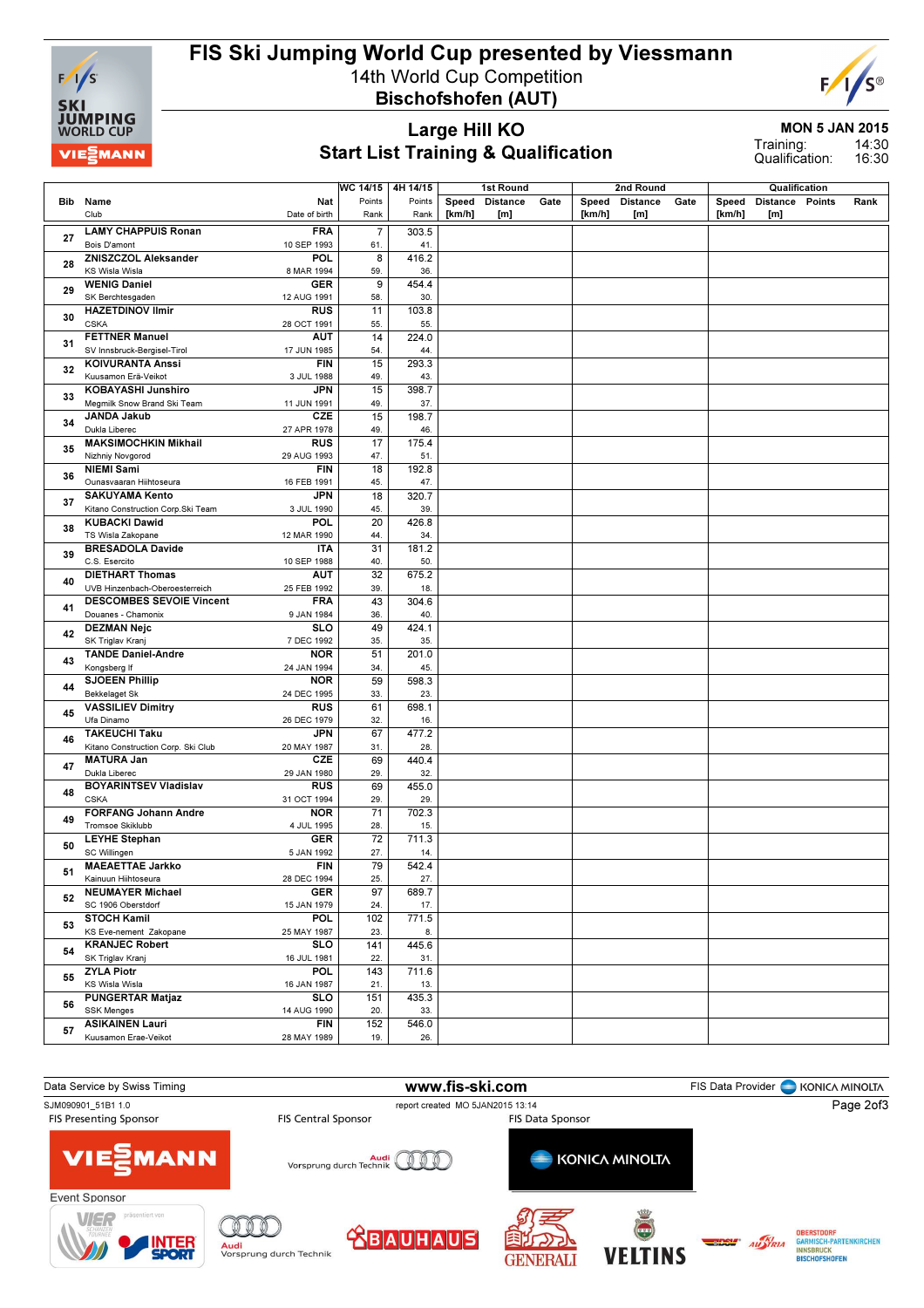

# FIS Ski Jumping World Cup presented by Viessmann

14th World Cup Competition Bischofshofen (AUT)



MON 5 JAN 2015

Large Hill KO Start List Training & Qualification

14:30 16:30 Training: Qualification:

|     |                                                                | $\overline{\text{WC 14/15}}$<br>4H 14/15<br>1st Round |        |        |                 |      |        |                 |      |        |                 |               |      |
|-----|----------------------------------------------------------------|-------------------------------------------------------|--------|--------|-----------------|------|--------|-----------------|------|--------|-----------------|---------------|------|
|     |                                                                |                                                       |        |        |                 |      |        | 2nd Round       |      |        |                 | Qualification |      |
| Bib | Nat<br>Name                                                    | Points                                                | Points | Speed  | <b>Distance</b> | Gate | Speed  | <b>Distance</b> | Gate | Speed  | Distance Points |               | Rank |
|     | Club<br>Date of birth                                          | Rank                                                  | Rank   | [km/h] | [m]             |      | [km/h] | [m]             |      | [km/h] | [m]             |               |      |
| 27  | <b>LAMY CHAPPUIS Ronan</b><br><b>FRA</b>                       | $\overline{7}$                                        | 303.5  |        |                 |      |        |                 |      |        |                 |               |      |
|     | Bois D'amont<br>10 SEP 1993                                    | 61.                                                   | 41.    |        |                 |      |        |                 |      |        |                 |               |      |
| 28  | ZNISZCZOL Aleksander<br>POL                                    | 8                                                     | 416.2  |        |                 |      |        |                 |      |        |                 |               |      |
|     | KS Wisla Wisla<br>8 MAR 1994                                   | 59.                                                   | 36.    |        |                 |      |        |                 |      |        |                 |               |      |
| 29  | <b>WENIG Daniel</b><br><b>GER</b>                              | 9                                                     | 454.4  |        |                 |      |        |                 |      |        |                 |               |      |
|     | SK Berchtesgaden<br>12 AUG 1991                                | 58.                                                   | 30.    |        |                 |      |        |                 |      |        |                 |               |      |
|     | <b>HAZETDINOV Ilmir</b><br><b>RUS</b>                          | 11                                                    | 103.8  |        |                 |      |        |                 |      |        |                 |               |      |
| 30  | <b>CSKA</b><br>28 OCT 1991                                     | 55.                                                   | 55.    |        |                 |      |        |                 |      |        |                 |               |      |
|     | <b>FETTNER Manuel</b><br><b>AUT</b>                            | 14                                                    | 224.0  |        |                 |      |        |                 |      |        |                 |               |      |
| 31  | SV Innsbruck-Bergisel-Tirol<br>17 JUN 1985                     | 54.                                                   | 44.    |        |                 |      |        |                 |      |        |                 |               |      |
|     | <b>KOIVURANTA Anssi</b><br><b>FIN</b>                          | 15                                                    | 293.3  |        |                 |      |        |                 |      |        |                 |               |      |
| 32  | Kuusamon Erä-Veikot<br>3 JUL 1988                              | 49.                                                   | 43.    |        |                 |      |        |                 |      |        |                 |               |      |
|     | <b>KOBAYASHI Junshiro</b><br>JPN                               | 15                                                    | 398.7  |        |                 |      |        |                 |      |        |                 |               |      |
| 33  | Megmilk Snow Brand Ski Team<br>11 JUN 1991                     | 49.                                                   | 37.    |        |                 |      |        |                 |      |        |                 |               |      |
|     | <b>JANDA Jakub</b><br><b>CZE</b>                               | 15                                                    | 198.7  |        |                 |      |        |                 |      |        |                 |               |      |
| 34  | Dukla Liberec<br>27 APR 1978                                   | 49.                                                   | 46.    |        |                 |      |        |                 |      |        |                 |               |      |
|     | <b>MAKSIMOCHKIN Mikhail</b><br><b>RUS</b>                      | 17                                                    | 175.4  |        |                 |      |        |                 |      |        |                 |               |      |
| 35  | Nizhniy Novgorod<br>29 AUG 1993                                | 47.                                                   | 51.    |        |                 |      |        |                 |      |        |                 |               |      |
|     | <b>NIEMI Sami</b><br><b>FIN</b>                                | 18                                                    | 192.8  |        |                 |      |        |                 |      |        |                 |               |      |
| 36  | Ounasvaaran Hiihtoseura<br>16 FEB 1991                         | 45.                                                   | 47.    |        |                 |      |        |                 |      |        |                 |               |      |
|     | <b>SAKUYAMA Kento</b><br><b>JPN</b>                            | 18                                                    | 320.7  |        |                 |      |        |                 |      |        |                 |               |      |
| 37  | Kitano Construction Corp. Ski Team<br>3 JUL 1990               | 45.                                                   | 39.    |        |                 |      |        |                 |      |        |                 |               |      |
|     | <b>KUBACKI Dawid</b><br>POL                                    | 20                                                    | 426.8  |        |                 |      |        |                 |      |        |                 |               |      |
| 38  | TS Wisla Zakopane<br>12 MAR 1990                               | 44.                                                   | 34.    |        |                 |      |        |                 |      |        |                 |               |      |
|     | <b>BRESADOLA Davide</b><br><b>ITA</b>                          | 31                                                    | 181.2  |        |                 |      |        |                 |      |        |                 |               |      |
| 39  | C.S. Esercito<br>10 SEP 1988                                   | 40.                                                   | 50.    |        |                 |      |        |                 |      |        |                 |               |      |
|     | <b>DIETHART Thomas</b><br><b>AUT</b>                           | $\overline{32}$                                       | 675.2  |        |                 |      |        |                 |      |        |                 |               |      |
| 40  | UVB Hinzenbach-Oberoesterreich<br>25 FEB 1992                  | 39.                                                   | 18.    |        |                 |      |        |                 |      |        |                 |               |      |
|     | <b>DESCOMBES SEVOIE Vincent</b><br><b>FRA</b>                  | 43                                                    | 304.6  |        |                 |      |        |                 |      |        |                 |               |      |
| 41  | Douanes - Chamonix<br>9 JAN 1984                               | 36.                                                   | 40.    |        |                 |      |        |                 |      |        |                 |               |      |
|     | <b>DEZMAN Nejc</b><br><b>SLO</b>                               | 49                                                    | 424.1  |        |                 |      |        |                 |      |        |                 |               |      |
| 42  | SK Triglav Kranj<br>7 DEC 1992                                 | 35.                                                   | 35.    |        |                 |      |        |                 |      |        |                 |               |      |
|     | <b>TANDE Daniel-Andre</b><br><b>NOR</b>                        | 51                                                    | 201.0  |        |                 |      |        |                 |      |        |                 |               |      |
| 43  | Kongsberg If<br>24 JAN 1994                                    | 34.                                                   | 45.    |        |                 |      |        |                 |      |        |                 |               |      |
|     | <b>SJOEEN Phillip</b><br><b>NOR</b>                            | 59                                                    | 598.3  |        |                 |      |        |                 |      |        |                 |               |      |
| 44  | <b>Bekkelaget Sk</b><br>24 DEC 1995                            | 33.                                                   | 23.    |        |                 |      |        |                 |      |        |                 |               |      |
|     | <b>VASSILIEV Dimitry</b><br><b>RUS</b>                         | 61                                                    | 698.1  |        |                 |      |        |                 |      |        |                 |               |      |
| 45  | Ufa Dinamo<br>26 DEC 1979                                      | 32.                                                   | 16.    |        |                 |      |        |                 |      |        |                 |               |      |
|     | <b>TAKEUCHI Taku</b><br><b>JPN</b>                             | 67                                                    | 477.2  |        |                 |      |        |                 |      |        |                 |               |      |
| 46  | Kitano Construction Corp. Ski Club<br>20 MAY 1987              | 31.                                                   | 28.    |        |                 |      |        |                 |      |        |                 |               |      |
|     | <b>MATURA Jan</b><br><b>CZE</b>                                | 69                                                    | 440.4  |        |                 |      |        |                 |      |        |                 |               |      |
| 47  | Dukla Liberec<br>29 JAN 1980                                   | 29.                                                   | 32.    |        |                 |      |        |                 |      |        |                 |               |      |
|     | <b>BOYARINTSEV Vladislav</b><br><b>RUS</b>                     | 69                                                    | 455.0  |        |                 |      |        |                 |      |        |                 |               |      |
| 48  | <b>CSKA</b><br>31 OCT 1994                                     | 29.                                                   | 29.    |        |                 |      |        |                 |      |        |                 |               |      |
|     | <b>FORFANG Johann Andre</b><br><b>NOR</b>                      | $\overline{71}$                                       | 702.3  |        |                 |      |        |                 |      |        |                 |               |      |
| 49  | Tromsoe Skiklubb<br>4 JUL 1995                                 | 28.                                                   | 15.    |        |                 |      |        |                 |      |        |                 |               |      |
|     | <b>LEYHE Stephan</b><br><b>GER</b>                             | 72                                                    | 711.3  |        |                 |      |        |                 |      |        |                 |               |      |
| 50  | SC Willingen<br>5 JAN 1992                                     | 27.                                                   | 14.    |        |                 |      |        |                 |      |        |                 |               |      |
|     | <b>MAEAETTAE Jarkko</b><br><b>FIN</b>                          | 79                                                    | 542.4  |        |                 |      |        |                 |      |        |                 |               |      |
| 51  | 28 DEC 1994<br>Kainuun Hiihtoseura                             | 25.                                                   | 27.    |        |                 |      |        |                 |      |        |                 |               |      |
|     | <b>NEUMAYER Michael</b><br><b>GER</b>                          |                                                       | 689.7  |        |                 |      |        |                 |      |        |                 |               |      |
| 52  | SC 1906 Oberstdorf                                             | 97                                                    | 17.    |        |                 |      |        |                 |      |        |                 |               |      |
|     | 15 JAN 1979                                                    | 24.                                                   |        |        |                 |      |        |                 |      |        |                 |               |      |
| 53  | <b>STOCH Kamil</b><br><b>POL</b>                               | 102                                                   | 771.5  |        |                 |      |        |                 |      |        |                 |               |      |
|     | KS Eve-nement Zakopane<br>25 MAY 1987<br><b>KRANJEC Robert</b> | 23.                                                   | 8.     |        |                 |      |        |                 |      |        |                 |               |      |
| 54  | <b>SLO</b>                                                     | 141                                                   | 445.6  |        |                 |      |        |                 |      |        |                 |               |      |
|     | SK Triglav Kranj<br>16 JUL 1981                                | 22.                                                   | 31.    |        |                 |      |        |                 |      |        |                 |               |      |
| 55  | <b>ZYLA Piotr</b><br><b>POL</b>                                | 143                                                   | 711.6  |        |                 |      |        |                 |      |        |                 |               |      |
|     | KS Wisla Wisla<br>16 JAN 1987                                  | 21.                                                   | 13.    |        |                 |      |        |                 |      |        |                 |               |      |
| 56  | <b>PUNGERTAR Matjaz</b><br><b>SLO</b>                          | 151                                                   | 435.3  |        |                 |      |        |                 |      |        |                 |               |      |
|     | <b>SSK Menges</b><br>14 AUG 1990                               | 20.                                                   | 33.    |        |                 |      |        |                 |      |        |                 |               |      |
| 57  | <b>ASIKAINEN Lauri</b><br><b>FIN</b>                           | 152                                                   | 546.0  |        |                 |      |        |                 |      |        |                 |               |      |
|     | Kuusamon Erae-Veikot<br>28 MAY 1989                            | 19.                                                   | 26.    |        |                 |      |        |                 |      |        |                 |               |      |